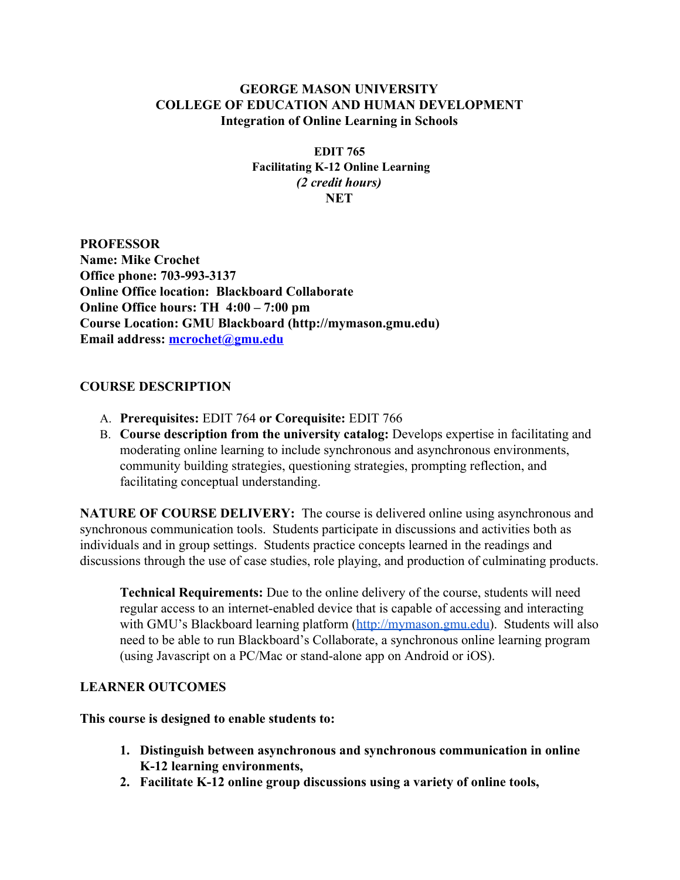## **GEORGE MASON UNIVERSITY COLLEGE OF EDUCATION AND HUMAN DEVELOPMENT Integration of Online Learning in Schools**

**EDIT 765 Facilitating K12 Online Learning** *(2 credit hours)* **NET**

**PROFESSOR Name: Mike Crochet Office phone: 703-993-3137 Online Office location: Blackboard Collaborate Online Office hours: TH 4:00 – 7:00 pm Course Location: GMU Blackboard (http://mymason.gmu.edu) Email address: [mcrochet@gmu.edu](mailto:jborup@gmu.edu)**

## **COURSE DESCRIPTION**

- A. **Prerequisites:** EDIT 764 **or Corequisite:** EDIT 766
- B. **Course description from the university catalog:**Develops expertise in facilitating and moderating online learning to include synchronous and asynchronous environments, community building strategies, questioning strategies, prompting reflection, and facilitating conceptual understanding.

**NATURE OF COURSE DELIVERY:** The course is delivered online using asynchronous and synchronous communication tools. Students participate in discussions and activities both as individuals and in group settings. Students practice concepts learned in the readings and discussions through the use of case studies, role playing, and production of culminating products.

**Technical Requirements:** Due to the online delivery of the course, students will need regular access to an internet-enabled device that is capable of accessing and interacting with GMU's Blackboard learning platform [\(http://mymason.gmu.edu\)](http://mymason.gmu.edu/). Students will also need to be able to run Blackboard's Collaborate, a synchronous online learning program (using Javascript on a PC/Mac or stand-alone app on Android or iOS).

## **LEARNER OUTCOMES**

**This course is designed to enable students to:**

- **1. Distinguish between asynchronous and synchronous communication in online K12 learning environments,**
- **2. Facilitate K12 online group discussions using a variety of online tools,**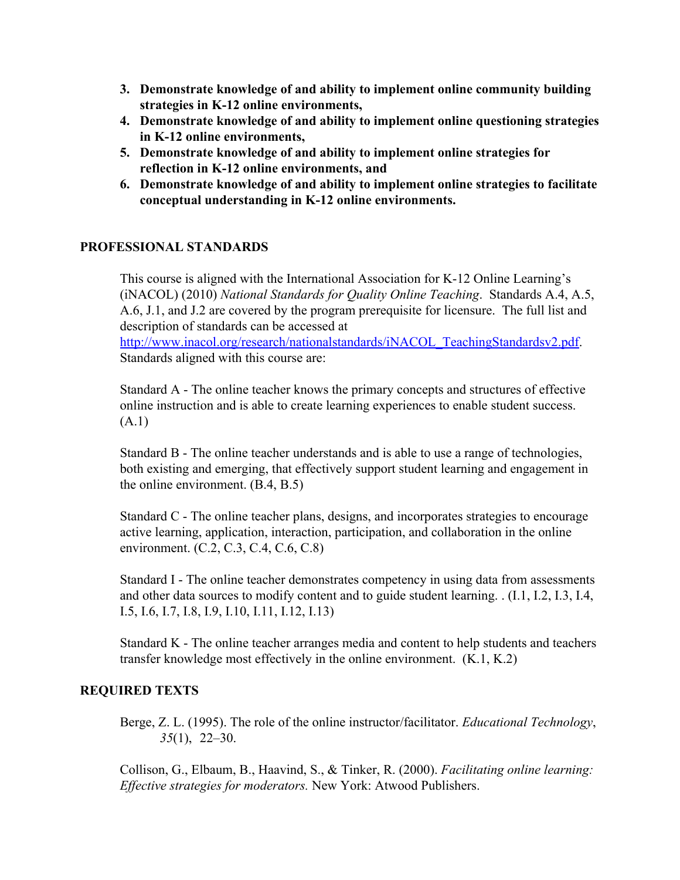- **3. Demonstrate knowledge of and ability to implement online community building strategies in K12 online environments,**
- **4. Demonstrate knowledge of and ability to implement online questioning strategies in K12 online environments,**
- **5. Demonstrate knowledge of and ability to implement online strategies for reflection in K12 online environments, and**
- **6. Demonstrate knowledge of and ability to implement online strategies to facilitate conceptual understanding in K12 online environments.**

## **PROFESSIONAL STANDARDS**

This course is aligned with the International Association for K-12 Online Learning's (iNACOL) (2010) *National Standards for Quality Online Teaching*. Standards A.4, A.5, A.6, J.1, and J.2 are covered by the program prerequisite for licensure. The full list and description of standards can be accessed at

[http://www.inacol.org/research/nationalstandards/iNACOL\\_TeachingStandardsv2.pdf.](http://www.inacol.org/research/nationalstandards/iNACOL_TeachingStandardsv2.pdf) Standards aligned with this course are:

Standard A - The online teacher knows the primary concepts and structures of effective online instruction and is able to create learning experiences to enable student success. (A.1)

Standard B - The online teacher understands and is able to use a range of technologies, both existing and emerging, that effectively support student learning and engagement in the online environment. (B.4, B.5)

Standard C - The online teacher plans, designs, and incorporates strategies to encourage active learning, application, interaction, participation, and collaboration in the online environment. (C.2, C.3, C.4, C.6, C.8)

Standard I - The online teacher demonstrates competency in using data from assessments and other data sources to modify content and to guide student learning. . (I.1, I.2, I.3, I.4, I.5, I.6, I.7, I.8, I.9, I.10, I.11, I.12, I.13)

Standard K - The online teacher arranges media and content to help students and teachers transfer knowledge most effectively in the online environment. (K.1, K.2)

## **REQUIRED TEXTS**

Berge, Z. L. (1995). The role of the online instructor/facilitator. *Educational Technology*, *35*(1), 22–30.

Collison, G., Elbaum, B., Haavind, S., & Tinker, R. (2000). *Facilitating online learning: Ef ective strategies for moderators.* New York: Atwood Publishers.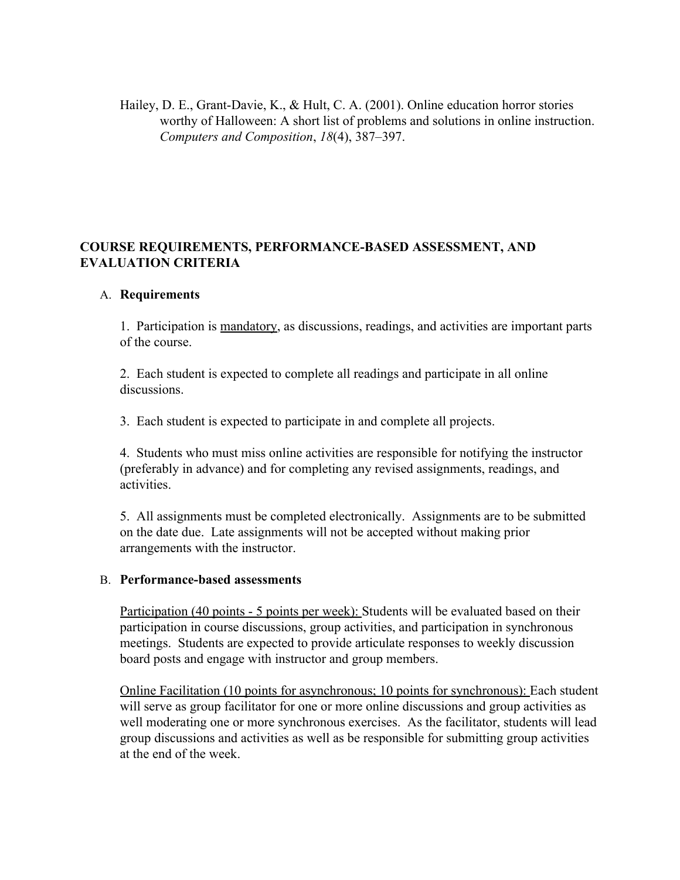Hailey, D. E., Grant-Davie, K., & Hult, C. A. (2001). Online education horror stories worthy of Halloween: A short list of problems and solutions in online instruction. *Computers and Composition*, *18*(4), 387–397.

# **COURSE REQUIREMENTS, PERFORMANCEBASED ASSESSMENT, AND EVALUATION CRITERIA**

### A. **Requirements**

1. Participation is mandatory, as discussions, readings, and activities are important parts of the course.

2. Each student is expected to complete all readings and participate in all online discussions.

3. Each student is expected to participate in and complete all projects.

4. Students who must miss online activities are responsible for notifying the instructor (preferably in advance) and for completing any revised assignments, readings, and activities.

5. All assignments must be completed electronically. Assignments are to be submitted on the date due. Late assignments will not be accepted without making prior arrangements with the instructor.

### B. **Performancebased assessments**

Participation (40 points - 5 points per week): Students will be evaluated based on their participation in course discussions, group activities, and participation in synchronous meetings. Students are expected to provide articulate responses to weekly discussion board posts and engage with instructor and group members.

Online Facilitation (10 points for asynchronous; 10 points for synchronous): Each student will serve as group facilitator for one or more online discussions and group activities as well moderating one or more synchronous exercises. As the facilitator, students will lead group discussions and activities as well as be responsible for submitting group activities at the end of the week.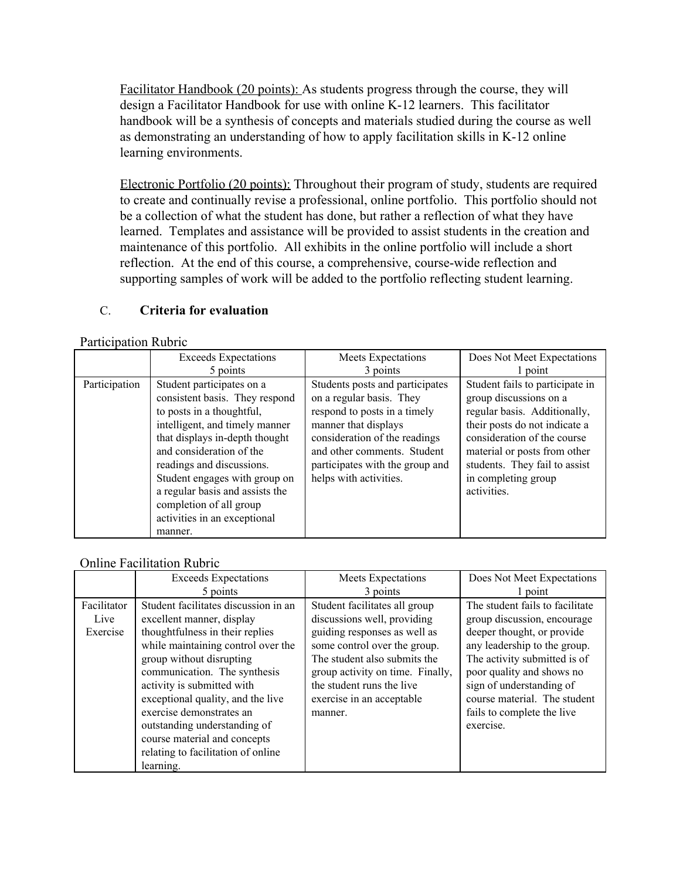Facilitator Handbook (20 points): As students progress through the course, they will design a Facilitator Handbook for use with online K-12 learners. This facilitator handbook will be a synthesis of concepts and materials studied during the course as well as demonstrating an understanding of how to apply facilitation skills in K-12 online learning environments.

Electronic Portfolio (20 points): Throughout their program of study, students are required to create and continually revise a professional, online portfolio. This portfolio should not be a collection of what the student has done, but rather a reflection of what they have learned. Templates and assistance will be provided to assist students in the creation and maintenance of this portfolio. All exhibits in the online portfolio will include a short reflection. At the end of this course, a comprehensive, course-wide reflection and supporting samples of work will be added to the portfolio reflecting student learning.

# C. **Criteria for evaluation**

#### Participation Rubric

|               | <b>Exceeds Expectations</b>                                                                                                                                                                                                                                                                                                                                     | Meets Expectations                                                                                                                                                                                                                               | Does Not Meet Expectations                                                                                                                                                                                                                                       |
|---------------|-----------------------------------------------------------------------------------------------------------------------------------------------------------------------------------------------------------------------------------------------------------------------------------------------------------------------------------------------------------------|--------------------------------------------------------------------------------------------------------------------------------------------------------------------------------------------------------------------------------------------------|------------------------------------------------------------------------------------------------------------------------------------------------------------------------------------------------------------------------------------------------------------------|
|               | 5 points                                                                                                                                                                                                                                                                                                                                                        | 3 points                                                                                                                                                                                                                                         | 1 point                                                                                                                                                                                                                                                          |
| Participation | Student participates on a<br>consistent basis. They respond<br>to posts in a thoughtful,<br>intelligent, and timely manner<br>that displays in-depth thought<br>and consideration of the<br>readings and discussions.<br>Student engages with group on<br>a regular basis and assists the<br>completion of all group<br>activities in an exceptional<br>manner. | Students posts and participates<br>on a regular basis. They<br>respond to posts in a timely<br>manner that displays<br>consideration of the readings<br>and other comments. Student<br>participates with the group and<br>helps with activities. | Student fails to participate in<br>group discussions on a<br>regular basis. Additionally,<br>their posts do not indicate a<br>consideration of the course<br>material or posts from other<br>students. They fail to assist<br>in completing group<br>activities. |

### Online Facilitation Rubric

|                                 | <b>Exceeds Expectations</b>                                                                                                                                                                                                                                                                                                           | Meets Expectations                                                                                                                                                                                                                                                    | Does Not Meet Expectations                                                                                                                                                                                                                                                                       |
|---------------------------------|---------------------------------------------------------------------------------------------------------------------------------------------------------------------------------------------------------------------------------------------------------------------------------------------------------------------------------------|-----------------------------------------------------------------------------------------------------------------------------------------------------------------------------------------------------------------------------------------------------------------------|--------------------------------------------------------------------------------------------------------------------------------------------------------------------------------------------------------------------------------------------------------------------------------------------------|
|                                 | 5 points                                                                                                                                                                                                                                                                                                                              | 3 points                                                                                                                                                                                                                                                              | 1 point                                                                                                                                                                                                                                                                                          |
| Facilitator<br>Live<br>Exercise | Student facilitates discussion in an<br>excellent manner, display<br>thoughtfulness in their replies<br>while maintaining control over the<br>group without disrupting<br>communication. The synthesis<br>activity is submitted with<br>exceptional quality, and the live<br>exercise demonstrates an<br>outstanding understanding of | Student facilitates all group<br>discussions well, providing<br>guiding responses as well as<br>some control over the group.<br>The student also submits the<br>group activity on time. Finally,<br>the student runs the live<br>exercise in an acceptable<br>manner. | The student fails to facilitate<br>group discussion, encourage<br>deeper thought, or provide<br>any leadership to the group.<br>The activity submitted is of<br>poor quality and shows no<br>sign of understanding of<br>course material. The student<br>fails to complete the live<br>exercise. |
|                                 | course material and concepts<br>relating to facilitation of online<br>learning.                                                                                                                                                                                                                                                       |                                                                                                                                                                                                                                                                       |                                                                                                                                                                                                                                                                                                  |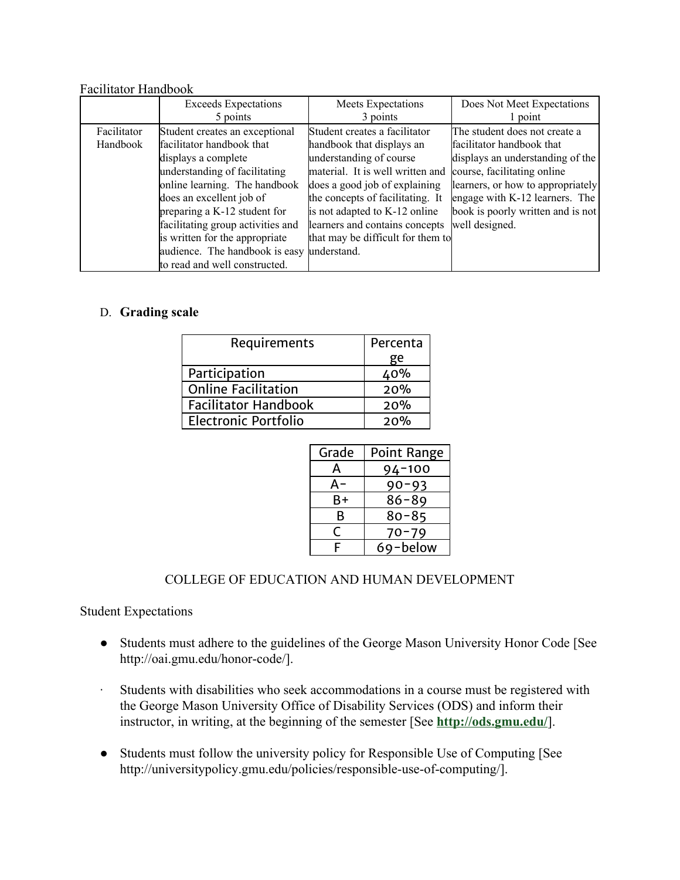#### Facilitator Handbook

|             | <b>Exceeds Expectations</b>       | Meets Expectations                | Does Not Meet Expectations        |
|-------------|-----------------------------------|-----------------------------------|-----------------------------------|
|             | 5 points                          | 3 points                          | 1 point                           |
| Facilitator | Student creates an exceptional    | Student creates a facilitator     | The student does not create a     |
| Handbook    | facilitator handbook that         | handbook that displays an         | facilitator handbook that         |
|             | displays a complete               | understanding of course           | displays an understanding of the  |
|             | understanding of facilitating     | material. It is well written and  | course, facilitating online       |
|             | online learning. The handbook     | does a good job of explaining     | learners, or how to appropriately |
|             | does an excellent job of          | the concepts of facilitating. It  | engage with K-12 learners. The    |
|             | preparing a K-12 student for      | is not adapted to K-12 online     | book is poorly written and is not |
|             | facilitating group activities and | learners and contains concepts    | well designed.                    |
|             | is written for the appropriate    | that may be difficult for them to |                                   |
|             | audience. The handbook is easy    | understand.                       |                                   |
|             | to read and well constructed.     |                                   |                                   |

## D. **Grading scale**

| Requirements                | Percenta |
|-----------------------------|----------|
|                             | ge       |
| Participation               | 40%      |
| <b>Online Facilitation</b>  | 20%      |
| <b>Facilitator Handbook</b> | 20%      |
| <b>Electronic Portfolio</b> | 20%      |

| Grade | <b>Point Range</b> |
|-------|--------------------|
| А     | $94 - 100$         |
| А-    | $90 - 93$          |
| B+    | $86 - 89$          |
| в     | $80 - 85$          |
| ┌     | 70-79              |
| F     | 69-below           |

## COLLEGE OF EDUCATION AND HUMAN DEVELOPMENT

Student Expectations

- Students must adhere to the guidelines of the George Mason University Honor Code [See http://oai.gmu.edu/honor-code/].
- ∙ Students with disabilities who seek accommodations in a course must be registered with the George Mason University Office of Disability Services (ODS) and inform their instructor, in writing, at the beginning of the semester [See **<http://ods.gmu.edu/>**].
- Students must follow the university policy for Responsible Use of Computing [See http://universitypolicy.gmu.edu/policies/responsible-use-of-computing/].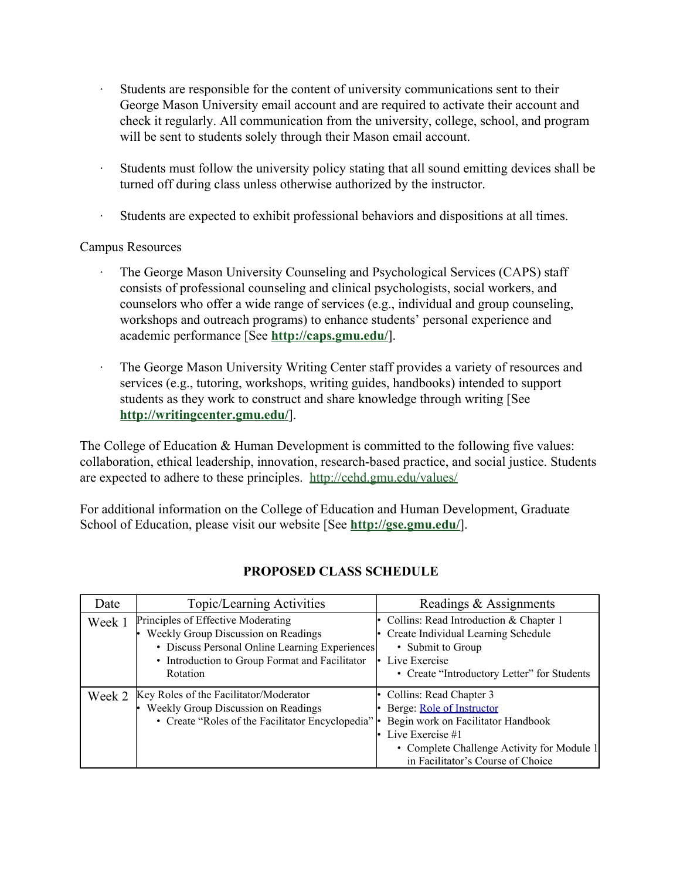- ∙ Students are responsible for the content of university communications sent to their George Mason University email account and are required to activate their account and check it regularly. All communication from the university, college, school, and program will be sent to students solely through their Mason email account.
- ∙ Students must follow the university policy stating that all sound emitting devices shall be turned off during class unless otherwise authorized by the instructor.
- Students are expected to exhibit professional behaviors and dispositions at all times.

## Campus Resources

- ∙ The George Mason University Counseling and Psychological Services (CAPS) staff consists of professional counseling and clinical psychologists, social workers, and counselors who offer a wide range of services (e.g., individual and group counseling, workshops and outreach programs) to enhance students' personal experience and academic performance [See **<http://caps.gmu.edu/>**].
	- The George Mason University Writing Center staff provides a variety of resources and services (e.g., tutoring, workshops, writing guides, handbooks) intended to support students as they work to construct and share knowledge through writing [See **<http://writingcenter.gmu.edu/>**].

The College of Education & Human Development is committed to the following five values: collaboration, ethical leadership, innovation, research-based practice, and social justice. Students are expected to adhere to these principles. <http://cehd.gmu.edu/values/>

For additional information on the College of Education and Human Development, Graduate School of Education, please visit our website [See **<http://gse.gmu.edu/>**].

| Date   | Topic/Learning Activities                           | Readings & Assignments                      |
|--------|-----------------------------------------------------|---------------------------------------------|
| Week 1 | Principles of Effective Moderating                  | Collins: Read Introduction & Chapter 1      |
|        | Weekly Group Discussion on Readings                 | Create Individual Learning Schedule         |
|        | • Discuss Personal Online Learning Experiences      | • Submit to Group                           |
|        | • Introduction to Group Format and Facilitator      | Live Exercise                               |
|        | Rotation                                            | • Create "Introductory Letter" for Students |
| Week 2 | Key Roles of the Facilitator/Moderator              | • Collins: Read Chapter 3                   |
|        | Weekly Group Discussion on Readings                 | Berge: Role of Instructor                   |
|        | • Create "Roles of the Facilitator Encyclopedia"  • | Begin work on Facilitator Handbook          |
|        |                                                     | Live Exercise #1                            |
|        |                                                     | • Complete Challenge Activity for Module 1  |
|        |                                                     | in Facilitator's Course of Choice           |

# **PROPOSED CLASS SCHEDULE**